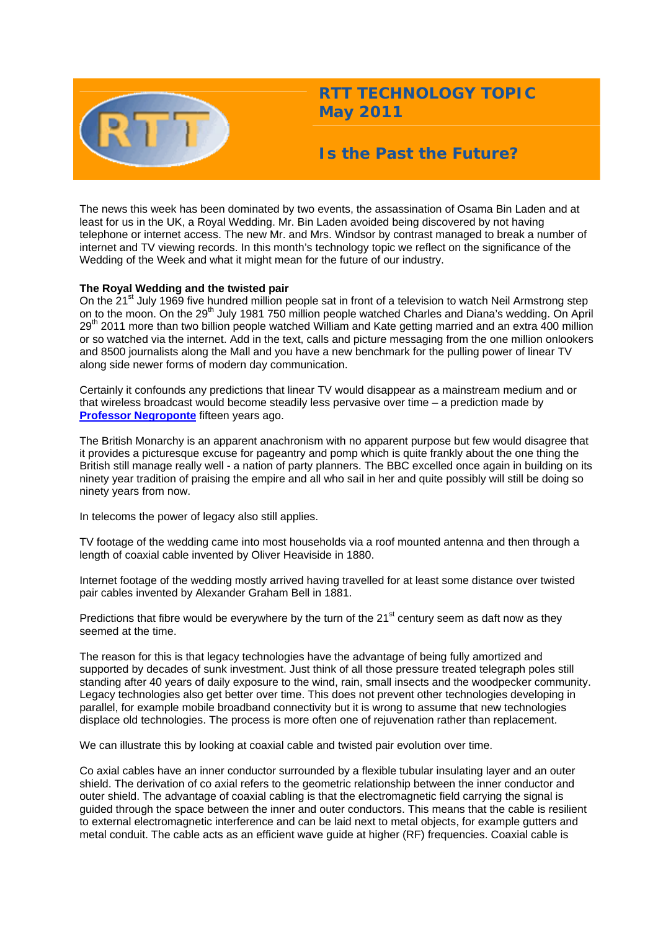

# **RTT TECHNOLOGY TOPIC May 2011**

## **Is the Past the Future?**

The news this week has been dominated by two events, the assassination of Osama Bin Laden and at least for us in the UK, a Royal Wedding. Mr. Bin Laden avoided being discovered by not having telephone or internet access. The new Mr. and Mrs. Windsor by contrast managed to break a number of internet and TV viewing records. In this month's technology topic we reflect on the significance of the Wedding of the Week and what it might mean for the future of our industry.

### **The Royal Wedding and the twisted pair**

On the 21<sup>st</sup> July 1969 five hundred million people sat in front of a television to watch Neil Armstrong step on to the moon. On the 29<sup>th</sup> July 1981 750 million people watched Charles and Diana's wedding. On April 29<sup>th</sup> 2011 more than two billion people watched William and Kate getting married and an extra 400 million or so watched via the internet. Add in the text, calls and picture messaging from the one million onlookers and 8500 journalists along the Mall and you have a new benchmark for the pulling power of linear TV along side newer forms of modern day communication.

Certainly it confounds any predictions that linear TV would disappear as a mainstream medium and or that wireless broadcast would become steadily less pervasive over time – a prediction made by **[Professor Negroponte](http://web.media.mit.edu/%7Enicholas/Wired/WIRED5-08.html)** fifteen years ago.

The British Monarchy is an apparent anachronism with no apparent purpose but few would disagree that it provides a picturesque excuse for pageantry and pomp which is quite frankly about the one thing the British still manage really well - a nation of party planners. The BBC excelled once again in building on its ninety year tradition of praising the empire and all who sail in her and quite possibly will still be doing so ninety years from now.

In telecoms the power of legacy also still applies.

TV footage of the wedding came into most households via a roof mounted antenna and then through a length of coaxial cable invented by Oliver Heaviside in 1880.

Internet footage of the wedding mostly arrived having travelled for at least some distance over twisted pair cables invented by Alexander Graham Bell in 1881.

Predictions that fibre would be everywhere by the turn of the 21<sup>st</sup> century seem as daft now as they seemed at the time.

The reason for this is that legacy technologies have the advantage of being fully amortized and supported by decades of sunk investment. Just think of all those pressure treated telegraph poles still standing after 40 years of daily exposure to the wind, rain, small insects and the woodpecker community. Legacy technologies also get better over time. This does not prevent other technologies developing in parallel, for example mobile broadband connectivity but it is wrong to assume that new technologies displace old technologies. The process is more often one of rejuvenation rather than replacement.

We can illustrate this by looking at coaxial cable and twisted pair evolution over time.

Co axial cables have an inner conductor surrounded by a flexible tubular insulating layer and an outer shield. The derivation of co axial refers to the geometric relationship between the inner conductor and outer shield. The advantage of coaxial cabling is that the electromagnetic field carrying the signal is guided through the space between the inner and outer conductors. This means that the cable is resilient to external electromagnetic interference and can be laid next to metal objects, for example gutters and metal conduit. The cable acts as an efficient wave guide at higher (RF) frequencies. Coaxial cable is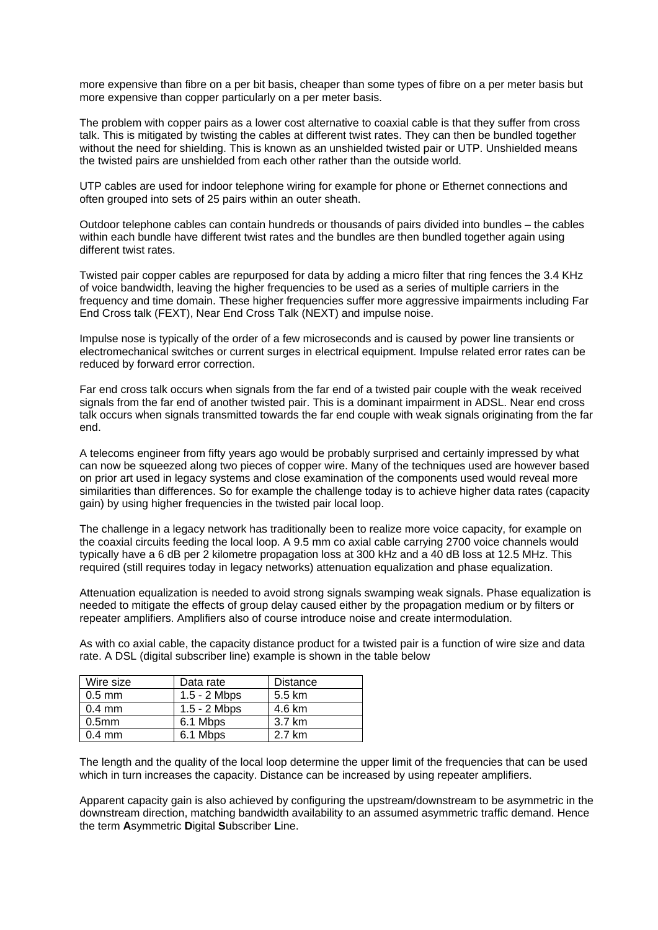more expensive than fibre on a per bit basis, cheaper than some types of fibre on a per meter basis but more expensive than copper particularly on a per meter basis.

The problem with copper pairs as a lower cost alternative to coaxial cable is that they suffer from cross talk. This is mitigated by twisting the cables at different twist rates. They can then be bundled together without the need for shielding. This is known as an unshielded twisted pair or UTP. Unshielded means the twisted pairs are unshielded from each other rather than the outside world.

UTP cables are used for indoor telephone wiring for example for phone or Ethernet connections and often grouped into sets of 25 pairs within an outer sheath.

Outdoor telephone cables can contain hundreds or thousands of pairs divided into bundles – the cables within each bundle have different twist rates and the bundles are then bundled together again using different twist rates.

Twisted pair copper cables are repurposed for data by adding a micro filter that ring fences the 3.4 KHz of voice bandwidth, leaving the higher frequencies to be used as a series of multiple carriers in the frequency and time domain. These higher frequencies suffer more aggressive impairments including Far End Cross talk (FEXT), Near End Cross Talk (NEXT) and impulse noise.

Impulse nose is typically of the order of a few microseconds and is caused by power line transients or electromechanical switches or current surges in electrical equipment. Impulse related error rates can be reduced by forward error correction.

Far end cross talk occurs when signals from the far end of a twisted pair couple with the weak received signals from the far end of another twisted pair. This is a dominant impairment in ADSL. Near end cross talk occurs when signals transmitted towards the far end couple with weak signals originating from the far end.

A telecoms engineer from fifty years ago would be probably surprised and certainly impressed by what can now be squeezed along two pieces of copper wire. Many of the techniques used are however based on prior art used in legacy systems and close examination of the components used would reveal more similarities than differences. So for example the challenge today is to achieve higher data rates (capacity gain) by using higher frequencies in the twisted pair local loop.

The challenge in a legacy network has traditionally been to realize more voice capacity, for example on the coaxial circuits feeding the local loop. A 9.5 mm co axial cable carrying 2700 voice channels would typically have a 6 dB per 2 kilometre propagation loss at 300 kHz and a 40 dB loss at 12.5 MHz. This required (still requires today in legacy networks) attenuation equalization and phase equalization.

Attenuation equalization is needed to avoid strong signals swamping weak signals. Phase equalization is needed to mitigate the effects of group delay caused either by the propagation medium or by filters or repeater amplifiers. Amplifiers also of course introduce noise and create intermodulation.

As with co axial cable, the capacity distance product for a twisted pair is a function of wire size and data rate. A DSL (digital subscriber line) example is shown in the table below

| Wire size         | Data rate      | Distance |
|-------------------|----------------|----------|
| $0.5$ mm          | $1.5 - 2$ Mbps | 5.5 km   |
| $0.4$ mm          | $1.5 - 2$ Mbps | 4.6 km   |
| 0.5 <sub>mm</sub> | 6.1 Mbps       | 3.7 km   |
| $0.4$ mm          | 6.1 Mbps       | 2.7 km   |

The length and the quality of the local loop determine the upper limit of the frequencies that can be used which in turn increases the capacity. Distance can be increased by using repeater amplifiers.

Apparent capacity gain is also achieved by configuring the upstream/downstream to be asymmetric in the downstream direction, matching bandwidth availability to an assumed asymmetric traffic demand. Hence the term **A**symmetric **D**igital **S**ubscriber **L**ine.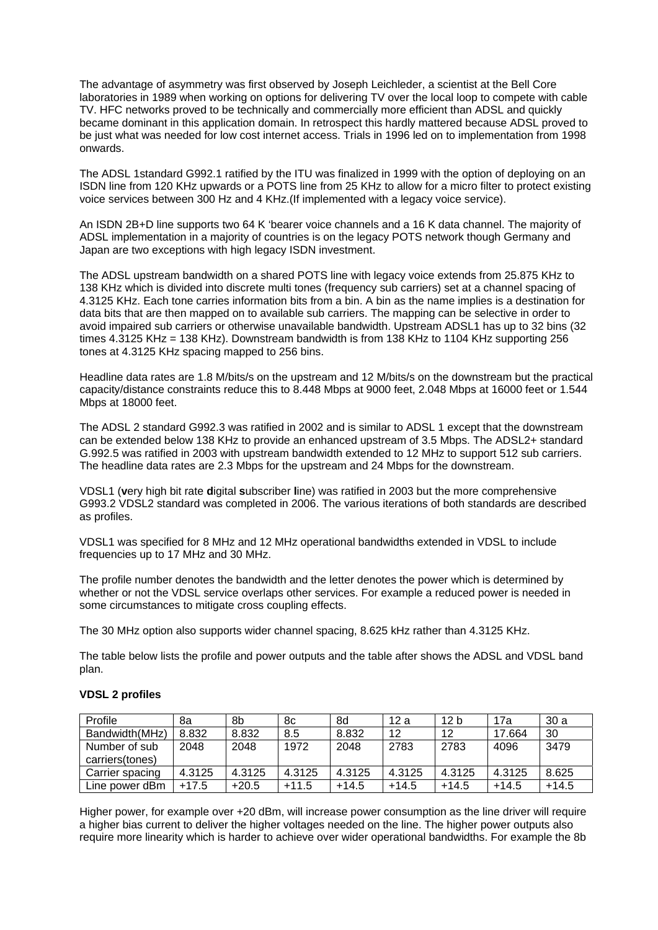The advantage of asymmetry was first observed by Joseph Leichleder, a scientist at the Bell Core laboratories in 1989 when working on options for delivering TV over the local loop to compete with cable TV. HFC networks proved to be technically and commercially more efficient than ADSL and quickly became dominant in this application domain. In retrospect this hardly mattered because ADSL proved to be just what was needed for low cost internet access. Trials in 1996 led on to implementation from 1998 onwards.

The ADSL 1standard G992.1 ratified by the ITU was finalized in 1999 with the option of deploying on an ISDN line from 120 KHz upwards or a POTS line from 25 KHz to allow for a micro filter to protect existing voice services between 300 Hz and 4 KHz.(If implemented with a legacy voice service).

An ISDN 2B+D line supports two 64 K 'bearer voice channels and a 16 K data channel. The majority of ADSL implementation in a majority of countries is on the legacy POTS network though Germany and Japan are two exceptions with high legacy ISDN investment.

The ADSL upstream bandwidth on a shared POTS line with legacy voice extends from 25.875 KHz to 138 KHz which is divided into discrete multi tones (frequency sub carriers) set at a channel spacing of 4.3125 KHz. Each tone carries information bits from a bin. A bin as the name implies is a destination for data bits that are then mapped on to available sub carriers. The mapping can be selective in order to avoid impaired sub carriers or otherwise unavailable bandwidth. Upstream ADSL1 has up to 32 bins (32 times 4.3125 KHz = 138 KHz). Downstream bandwidth is from 138 KHz to 1104 KHz supporting 256 tones at 4.3125 KHz spacing mapped to 256 bins.

Headline data rates are 1.8 M/bits/s on the upstream and 12 M/bits/s on the downstream but the practical capacity/distance constraints reduce this to 8.448 Mbps at 9000 feet, 2.048 Mbps at 16000 feet or 1.544 Mbps at 18000 feet.

The ADSL 2 standard G992.3 was ratified in 2002 and is similar to ADSL 1 except that the downstream can be extended below 138 KHz to provide an enhanced upstream of 3.5 Mbps. The ADSL2+ standard G.992.5 was ratified in 2003 with upstream bandwidth extended to 12 MHz to support 512 sub carriers. The headline data rates are 2.3 Mbps for the upstream and 24 Mbps for the downstream.

VDSL1 (**v**ery high bit rate **d**igital **s**ubscriber **l**ine) was ratified in 2003 but the more comprehensive G993.2 VDSL2 standard was completed in 2006. The various iterations of both standards are described as profiles.

VDSL1 was specified for 8 MHz and 12 MHz operational bandwidths extended in VDSL to include frequencies up to 17 MHz and 30 MHz.

The profile number denotes the bandwidth and the letter denotes the power which is determined by whether or not the VDSL service overlaps other services. For example a reduced power is needed in some circumstances to mitigate cross coupling effects.

The 30 MHz option also supports wider channel spacing, 8.625 kHz rather than 4.3125 KHz.

The table below lists the profile and power outputs and the table after shows the ADSL and VDSL band plan.

| Profile                          | 8a      | 8b      | 8c      | 8d      | 12 a    | 12 <sub>b</sub> | 17a     | 30a   |
|----------------------------------|---------|---------|---------|---------|---------|-----------------|---------|-------|
| Bandwidth(MHz)                   | 8.832   | 8.832   | 8.5     | 8.832   | 12      | 12              | 17.664  | 30    |
| Number of sub<br>carriers(tones) | 2048    | 2048    | 1972    | 2048    | 2783    | 2783            | 4096    | 3479  |
| Carrier spacing                  | 4.3125  | 4.3125  | 4.3125  | 4.3125  | 4.3125  | 4.3125          | 4.3125  | 8.625 |
| Line power dBm                   | $+17.5$ | $+20.5$ | $+11.5$ | $+14.5$ | $+14.5$ | $+14.5$         | $+14.5$ | +14.5 |

## **VDSL 2 profiles**

Higher power, for example over +20 dBm, will increase power consumption as the line driver will require a higher bias current to deliver the higher voltages needed on the line. The higher power outputs also require more linearity which is harder to achieve over wider operational bandwidths. For example the 8b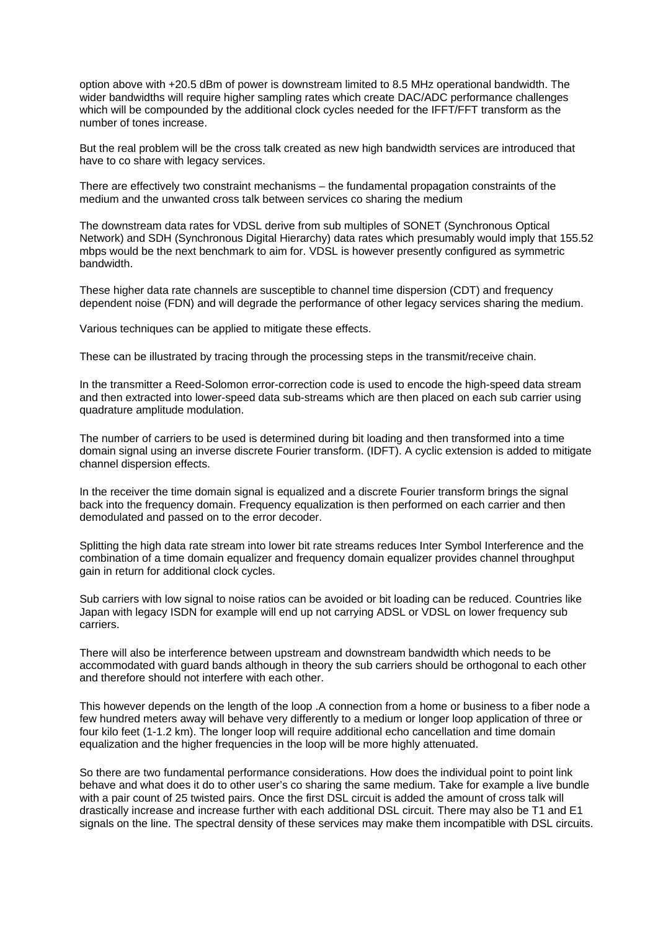option above with +20.5 dBm of power is downstream limited to 8.5 MHz operational bandwidth. The wider bandwidths will require higher sampling rates which create DAC/ADC performance challenges which will be compounded by the additional clock cycles needed for the IFFT/FFT transform as the number of tones increase.

But the real problem will be the cross talk created as new high bandwidth services are introduced that have to co share with legacy services.

There are effectively two constraint mechanisms – the fundamental propagation constraints of the medium and the unwanted cross talk between services co sharing the medium

The downstream data rates for VDSL derive from sub multiples of SONET (Synchronous Optical Network) and SDH (Synchronous Digital Hierarchy) data rates which presumably would imply that 155.52 mbps would be the next benchmark to aim for. VDSL is however presently configured as symmetric bandwidth.

These higher data rate channels are susceptible to channel time dispersion (CDT) and frequency dependent noise (FDN) and will degrade the performance of other legacy services sharing the medium.

Various techniques can be applied to mitigate these effects.

These can be illustrated by tracing through the processing steps in the transmit/receive chain.

In the transmitter a Reed-Solomon error-correction code is used to encode the high-speed data stream and then extracted into lower-speed data sub-streams which are then placed on each sub carrier using quadrature amplitude modulation.

The number of carriers to be used is determined during bit loading and then transformed into a time domain signal using an inverse discrete Fourier transform. (IDFT). A cyclic extension is added to mitigate channel dispersion effects.

In the receiver the time domain signal is equalized and a discrete Fourier transform brings the signal back into the frequency domain. Frequency equalization is then performed on each carrier and then demodulated and passed on to the error decoder.

Splitting the high data rate stream into lower bit rate streams reduces Inter Symbol Interference and the combination of a time domain equalizer and frequency domain equalizer provides channel throughput gain in return for additional clock cycles.

Sub carriers with low signal to noise ratios can be avoided or bit loading can be reduced. Countries like Japan with legacy ISDN for example will end up not carrying ADSL or VDSL on lower frequency sub carriers.

There will also be interference between upstream and downstream bandwidth which needs to be accommodated with guard bands although in theory the sub carriers should be orthogonal to each other and therefore should not interfere with each other.

This however depends on the length of the loop .A connection from a home or business to a fiber node a few hundred meters away will behave very differently to a medium or longer loop application of three or four kilo feet (1-1.2 km). The longer loop will require additional echo cancellation and time domain equalization and the higher frequencies in the loop will be more highly attenuated.

So there are two fundamental performance considerations. How does the individual point to point link behave and what does it do to other user's co sharing the same medium. Take for example a live bundle with a pair count of 25 twisted pairs. Once the first DSL circuit is added the amount of cross talk will drastically increase and increase further with each additional DSL circuit. There may also be T1 and E1 signals on the line. The spectral density of these services may make them incompatible with DSL circuits.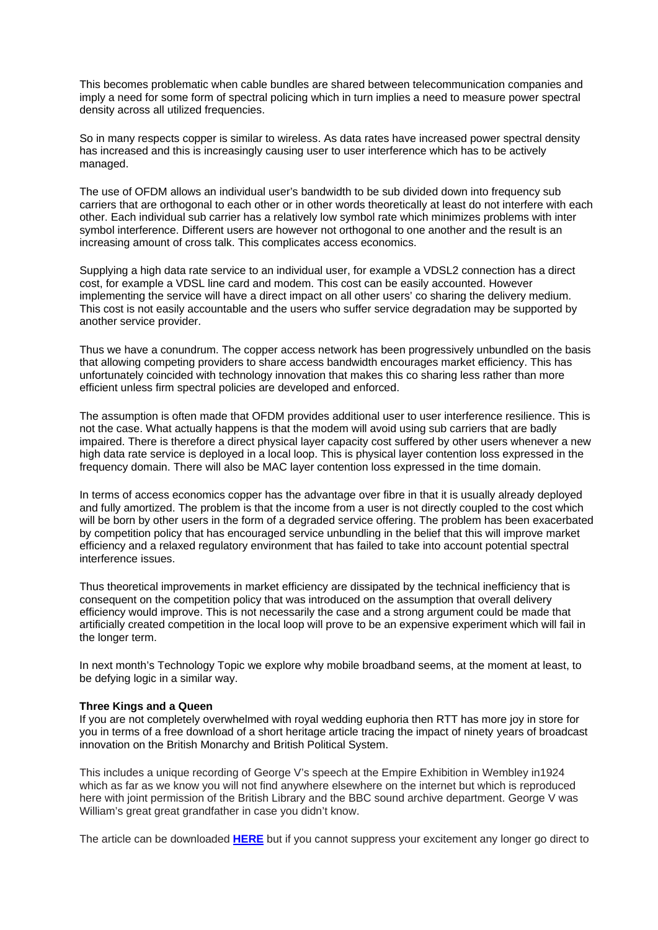This becomes problematic when cable bundles are shared between telecommunication companies and imply a need for some form of spectral policing which in turn implies a need to measure power spectral density across all utilized frequencies.

So in many respects copper is similar to wireless. As data rates have increased power spectral density has increased and this is increasingly causing user to user interference which has to be actively managed.

The use of OFDM allows an individual user's bandwidth to be sub divided down into frequency sub carriers that are orthogonal to each other or in other words theoretically at least do not interfere with each other. Each individual sub carrier has a relatively low symbol rate which minimizes problems with inter symbol interference. Different users are however not orthogonal to one another and the result is an increasing amount of cross talk. This complicates access economics.

Supplying a high data rate service to an individual user, for example a VDSL2 connection has a direct cost, for example a VDSL line card and modem. This cost can be easily accounted. However implementing the service will have a direct impact on all other users' co sharing the delivery medium. This cost is not easily accountable and the users who suffer service degradation may be supported by another service provider.

Thus we have a conundrum. The copper access network has been progressively unbundled on the basis that allowing competing providers to share access bandwidth encourages market efficiency. This has unfortunately coincided with technology innovation that makes this co sharing less rather than more efficient unless firm spectral policies are developed and enforced.

The assumption is often made that OFDM provides additional user to user interference resilience. This is not the case. What actually happens is that the modem will avoid using sub carriers that are badly impaired. There is therefore a direct physical layer capacity cost suffered by other users whenever a new high data rate service is deployed in a local loop. This is physical layer contention loss expressed in the frequency domain. There will also be MAC layer contention loss expressed in the time domain.

In terms of access economics copper has the advantage over fibre in that it is usually already deployed and fully amortized. The problem is that the income from a user is not directly coupled to the cost which will be born by other users in the form of a degraded service offering. The problem has been exacerbated by competition policy that has encouraged service unbundling in the belief that this will improve market efficiency and a relaxed regulatory environment that has failed to take into account potential spectral interference issues.

Thus theoretical improvements in market efficiency are dissipated by the technical inefficiency that is consequent on the competition policy that was introduced on the assumption that overall delivery efficiency would improve. This is not necessarily the case and a strong argument could be made that artificially created competition in the local loop will prove to be an expensive experiment which will fail in the longer term.

In next month's Technology Topic we explore why mobile broadband seems, at the moment at least, to be defying logic in a similar way.

#### **Three Kings and a Queen**

If you are not completely overwhelmed with royal wedding euphoria then RTT has more joy in store for you in terms of a free download of a short heritage article tracing the impact of ninety years of broadcast innovation on the British Monarchy and British Political System.

This includes a unique recording of George V's speech at the Empire Exhibition in Wembley in1924 which as far as we know you will not find anywhere elsewhere on the internet but which is reproduced here with joint permission of the British Library and the BBC sound archive department. George V was William's great great grandfather in case you didn't know.

The article can be downloaded **[HERE](http://www.rttonline.com/documents/History_Archive_02.pdf)** but if you cannot suppress your excitement any longer go direct to